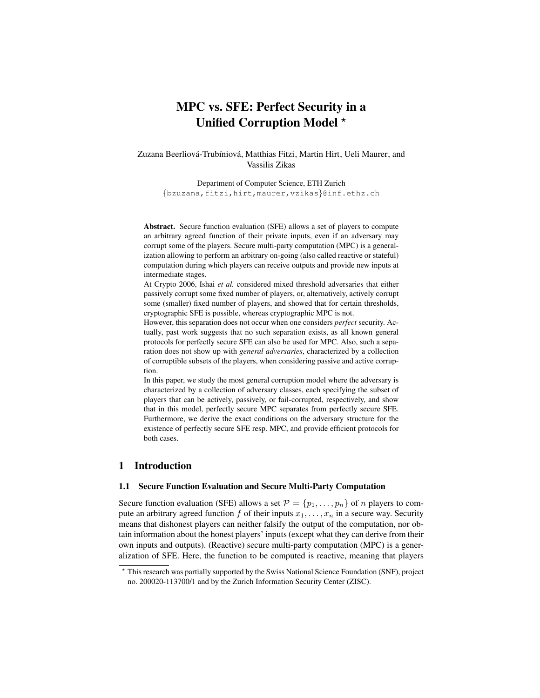# MPC vs. SFE: Perfect Security in a Unified Corruption Model \*

Zuzana Beerliová-Trubíniová, Matthias Fitzi, Martin Hirt, Ueli Maurer, and Vassilis Zikas

Department of Computer Science, ETH Zurich {bzuzana,fitzi,hirt,maurer,vzikas}@inf.ethz.ch

Abstract. Secure function evaluation (SFE) allows a set of players to compute an arbitrary agreed function of their private inputs, even if an adversary may corrupt some of the players. Secure multi-party computation (MPC) is a generalization allowing to perform an arbitrary on-going (also called reactive or stateful) computation during which players can receive outputs and provide new inputs at intermediate stages.

At Crypto 2006, Ishai *et al.* considered mixed threshold adversaries that either passively corrupt some fixed number of players, or, alternatively, actively corrupt some (smaller) fixed number of players, and showed that for certain thresholds, cryptographic SFE is possible, whereas cryptographic MPC is not.

However, this separation does not occur when one considers *perfect* security. Actually, past work suggests that no such separation exists, as all known general protocols for perfectly secure SFE can also be used for MPC. Also, such a separation does not show up with *general adversaries*, characterized by a collection of corruptible subsets of the players, when considering passive and active corruption.

In this paper, we study the most general corruption model where the adversary is characterized by a collection of adversary classes, each specifying the subset of players that can be actively, passively, or fail-corrupted, respectively, and show that in this model, perfectly secure MPC separates from perfectly secure SFE. Furthermore, we derive the exact conditions on the adversary structure for the existence of perfectly secure SFE resp. MPC, and provide efficient protocols for both cases.

# 1 Introduction

#### 1.1 Secure Function Evaluation and Secure Multi-Party Computation

Secure function evaluation (SFE) allows a set  $\mathcal{P} = \{p_1, \ldots, p_n\}$  of *n* players to compute an arbitrary agreed function f of their inputs  $x_1, \ldots, x_n$  in a secure way. Security means that dishonest players can neither falsify the output of the computation, nor obtain information about the honest players' inputs (except what they can derive from their own inputs and outputs). (Reactive) secure multi-party computation (MPC) is a generalization of SFE. Here, the function to be computed is reactive, meaning that players

<sup>?</sup> This research was partially supported by the Swiss National Science Foundation (SNF), project no. 200020-113700/1 and by the Zurich Information Security Center (ZISC).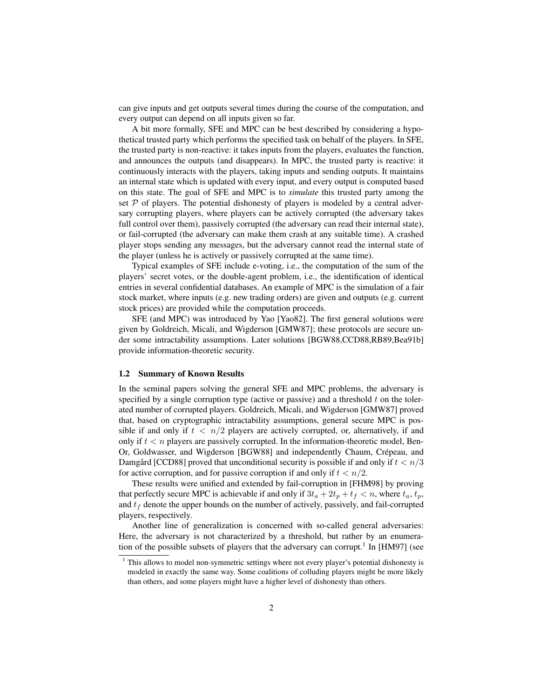can give inputs and get outputs several times during the course of the computation, and every output can depend on all inputs given so far.

A bit more formally, SFE and MPC can be best described by considering a hypothetical trusted party which performs the specified task on behalf of the players. In SFE, the trusted party is non-reactive: it takes inputs from the players, evaluates the function, and announces the outputs (and disappears). In MPC, the trusted party is reactive: it continuously interacts with the players, taking inputs and sending outputs. It maintains an internal state which is updated with every input, and every output is computed based on this state. The goal of SFE and MPC is to *simulate* this trusted party among the set  $P$  of players. The potential dishonesty of players is modeled by a central adversary corrupting players, where players can be actively corrupted (the adversary takes full control over them), passively corrupted (the adversary can read their internal state), or fail-corrupted (the adversary can make them crash at any suitable time). A crashed player stops sending any messages, but the adversary cannot read the internal state of the player (unless he is actively or passively corrupted at the same time).

Typical examples of SFE include e-voting, i.e., the computation of the sum of the players' secret votes, or the double-agent problem, i.e., the identification of identical entries in several confidential databases. An example of MPC is the simulation of a fair stock market, where inputs (e.g. new trading orders) are given and outputs (e.g. current stock prices) are provided while the computation proceeds.

SFE (and MPC) was introduced by Yao [Yao82]. The first general solutions were given by Goldreich, Micali, and Wigderson [GMW87]; these protocols are secure under some intractability assumptions. Later solutions [BGW88,CCD88,RB89,Bea91b] provide information-theoretic security.

#### 1.2 Summary of Known Results

In the seminal papers solving the general SFE and MPC problems, the adversary is specified by a single corruption type (active or passive) and a threshold t on the tolerated number of corrupted players. Goldreich, Micali, and Wigderson [GMW87] proved that, based on cryptographic intractability assumptions, general secure MPC is possible if and only if  $t < n/2$  players are actively corrupted, or, alternatively, if and only if  $t < n$  players are passively corrupted. In the information-theoretic model, Ben-Or, Goldwasser, and Wigderson [BGW88] and independently Chaum, Crépeau, and Damgård [CCD88] proved that unconditional security is possible if and only if  $t < n/3$ for active corruption, and for passive corruption if and only if  $t < n/2$ .

These results were unified and extended by fail-corruption in [FHM98] by proving that perfectly secure MPC is achievable if and only if  $3t_a + 2t_p + t_f < n$ , where  $t_a, t_p$ , and  $t_f$  denote the upper bounds on the number of actively, passively, and fail-corrupted players, respectively.

Another line of generalization is concerned with so-called general adversaries: Here, the adversary is not characterized by a threshold, but rather by an enumeration of the possible subsets of players that the adversary can corrupt.<sup>1</sup> In [HM97] (see

<sup>&</sup>lt;sup>1</sup> This allows to model non-symmetric settings where not every player's potential dishonesty is modeled in exactly the same way. Some coalitions of colluding players might be more likely than others, and some players might have a higher level of dishonesty than others.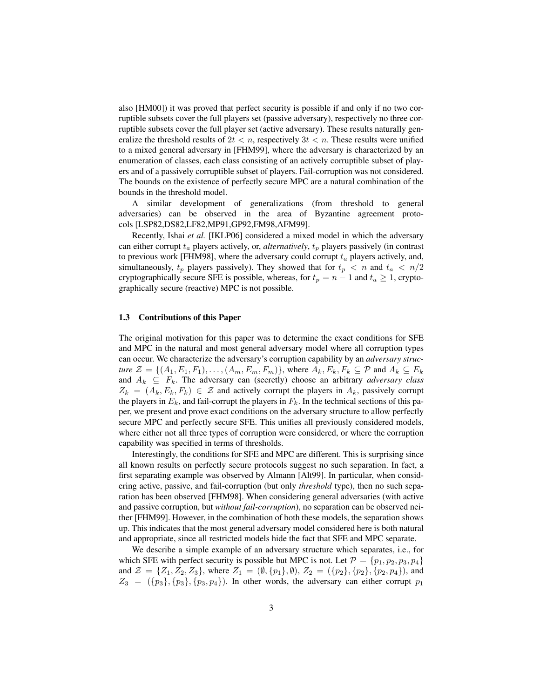also [HM00]) it was proved that perfect security is possible if and only if no two corruptible subsets cover the full players set (passive adversary), respectively no three corruptible subsets cover the full player set (active adversary). These results naturally generalize the threshold results of  $2t < n$ , respectively  $3t < n$ . These results were unified to a mixed general adversary in [FHM99], where the adversary is characterized by an enumeration of classes, each class consisting of an actively corruptible subset of players and of a passively corruptible subset of players. Fail-corruption was not considered. The bounds on the existence of perfectly secure MPC are a natural combination of the bounds in the threshold model.

A similar development of generalizations (from threshold to general adversaries) can be observed in the area of Byzantine agreement protocols [LSP82,DS82,LF82,MP91,GP92,FM98,AFM99].

Recently, Ishai *et al.* [IKLP06] considered a mixed model in which the adversary can either corrupt  $t_a$  players actively, or, *alternatively*,  $t_p$  players passively (in contrast to previous work [FHM98], where the adversary could corrupt  $t_a$  players actively, and, simultaneously,  $t_p$  players passively). They showed that for  $t_p < n$  and  $t_a < n/2$ cryptographically secure SFE is possible, whereas, for  $t_p = n - 1$  and  $t_a \ge 1$ , cryptographically secure (reactive) MPC is not possible.

#### 1.3 Contributions of this Paper

The original motivation for this paper was to determine the exact conditions for SFE and MPC in the natural and most general adversary model where all corruption types can occur. We characterize the adversary's corruption capability by an *adversary structure*  $\mathcal{Z} = \{(A_1, E_1, F_1), \ldots, (A_m, E_m, F_m)\}\$ , where  $A_k, E_k, F_k \subseteq \mathcal{P}$  and  $A_k \subseteq E_k$ and  $A_k \subseteq F_k$ . The adversary can (secretly) choose an arbitrary *adversary class*  $Z_k = (A_k, E_k, F_k) \in \mathcal{Z}$  and actively corrupt the players in  $A_k$ , passively corrupt the players in  $E_k$ , and fail-corrupt the players in  $F_k$ . In the technical sections of this paper, we present and prove exact conditions on the adversary structure to allow perfectly secure MPC and perfectly secure SFE. This unifies all previously considered models, where either not all three types of corruption were considered, or where the corruption capability was specified in terms of thresholds.

Interestingly, the conditions for SFE and MPC are different. This is surprising since all known results on perfectly secure protocols suggest no such separation. In fact, a first separating example was observed by Almann [Alt99]. In particular, when considering active, passive, and fail-corruption (but only *threshold* type), then no such separation has been observed [FHM98]. When considering general adversaries (with active and passive corruption, but *without fail-corruption*), no separation can be observed neither [FHM99]. However, in the combination of both these models, the separation shows up. This indicates that the most general adversary model considered here is both natural and appropriate, since all restricted models hide the fact that SFE and MPC separate.

We describe a simple example of an adversary structure which separates, i.e., for which SFE with perfect security is possible but MPC is not. Let  $\mathcal{P} = \{p_1, p_2, p_3, p_4\}$ and  $\mathcal{Z} = \{Z_1, Z_2, Z_3\}$ , where  $Z_1 = (\emptyset, \{p_1\}, \emptyset)$ ,  $Z_2 = (\{p_2\}, \{p_2\}, \{p_2, p_4\})$ , and  $Z_3 = (\{p_3\}, \{p_3\}, \{p_3, p_4\})$ . In other words, the adversary can either corrupt  $p_1$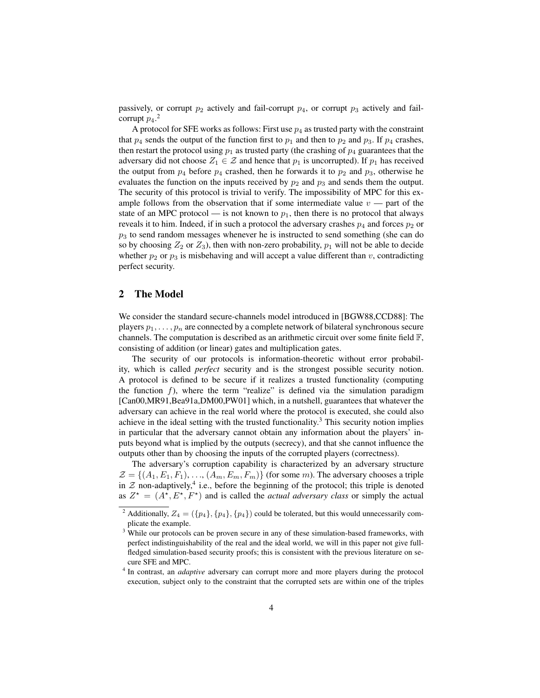passively, or corrupt  $p_2$  actively and fail-corrupt  $p_4$ , or corrupt  $p_3$  actively and failcorrupt  $p_4$ .<sup>2</sup>

A protocol for SFE works as follows: First use  $p_4$  as trusted party with the constraint that  $p_4$  sends the output of the function first to  $p_1$  and then to  $p_2$  and  $p_3$ . If  $p_4$  crashes, then restart the protocol using  $p_1$  as trusted party (the crashing of  $p_4$  guarantees that the adversary did not choose  $Z_1 \in \mathcal{Z}$  and hence that  $p_1$  is uncorrupted). If  $p_1$  has received the output from  $p_4$  before  $p_4$  crashed, then he forwards it to  $p_2$  and  $p_3$ , otherwise he evaluates the function on the inputs received by  $p_2$  and  $p_3$  and sends them the output. The security of this protocol is trivial to verify. The impossibility of MPC for this example follows from the observation that if some intermediate value  $v -$  part of the state of an MPC protocol — is not known to  $p_1$ , then there is no protocol that always reveals it to him. Indeed, if in such a protocol the adversary crashes  $p_4$  and forces  $p_2$  or  $p_3$  to send random messages whenever he is instructed to send something (she can do so by choosing  $Z_2$  or  $Z_3$ ), then with non-zero probability,  $p_1$  will not be able to decide whether  $p_2$  or  $p_3$  is misbehaving and will accept a value different than v, contradicting perfect security.

# 2 The Model

We consider the standard secure-channels model introduced in [BGW88,CCD88]: The players  $p_1, \ldots, p_n$  are connected by a complete network of bilateral synchronous secure channels. The computation is described as an arithmetic circuit over some finite field  $\mathbb{F}$ , consisting of addition (or linear) gates and multiplication gates.

The security of our protocols is information-theoretic without error probability, which is called *perfect* security and is the strongest possible security notion. A protocol is defined to be secure if it realizes a trusted functionality (computing the function  $f$ ), where the term "realize" is defined via the simulation paradigm [Can00,MR91,Bea91a,DM00,PW01] which, in a nutshell, guarantees that whatever the adversary can achieve in the real world where the protocol is executed, she could also achieve in the ideal setting with the trusted functionality.<sup>3</sup> This security notion implies in particular that the adversary cannot obtain any information about the players' inputs beyond what is implied by the outputs (secrecy), and that she cannot influence the outputs other than by choosing the inputs of the corrupted players (correctness).

The adversary's corruption capability is characterized by an adversary structure  $\mathcal{Z} = \{(A_1, E_1, F_1), \ldots, (A_m, E_m, F_m)\}\$  (for some m). The adversary chooses a triple in  $\mathcal Z$  non-adaptively,<sup>4</sup> i.e., before the beginning of the protocol; this triple is denoted as  $Z^* = (A^*, E^*, F^*)$  and is called the *actual adversary class* or simply the actual

<sup>&</sup>lt;sup>2</sup> Additionally,  $Z_4 = (\{p_4\}, \{p_4\}, \{p_4\})$  could be tolerated, but this would unnecessarily complicate the example.

<sup>&</sup>lt;sup>3</sup> While our protocols can be proven secure in any of these simulation-based frameworks, with perfect indistinguishability of the real and the ideal world, we will in this paper not give fullfledged simulation-based security proofs; this is consistent with the previous literature on secure SFE and MPC.

<sup>4</sup> In contrast, an *adaptive* adversary can corrupt more and more players during the protocol execution, subject only to the constraint that the corrupted sets are within one of the triples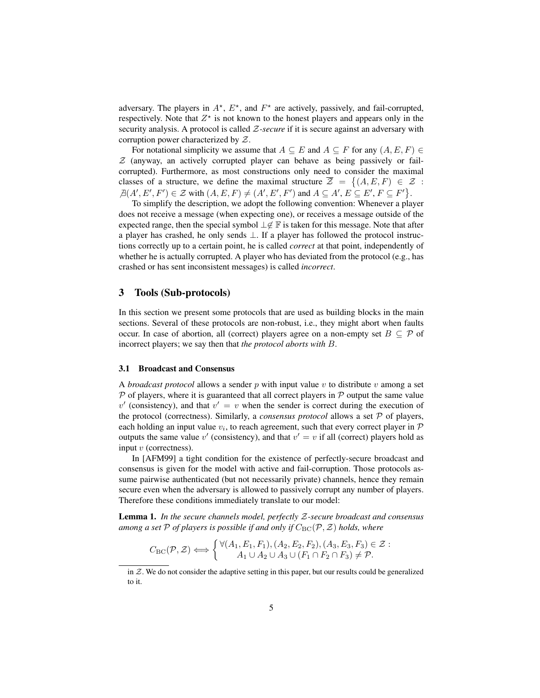adversary. The players in  $A^*$ ,  $E^*$ , and  $F^*$  are actively, passively, and fail-corrupted, respectively. Note that  $Z^*$  is not known to the honest players and appears only in the security analysis. A protocol is called Z*-secure* if it is secure against an adversary with corruption power characterized by Z.

For notational simplicity we assume that  $A \subseteq E$  and  $A \subseteq F$  for any  $(A, E, F) \in$  $Z$  (anyway, an actively corrupted player can behave as being passively or failcorrupted). Furthermore, as most constructions only need to consider the maximal classes of a structure, we define the maximal structure  $\overline{\mathcal{Z}} = \{(A, E, F) \in \mathcal{Z}$ :  $\mathcal{A}(A', E', F') \in \mathcal{Z}$  with  $(A, E, F) \neq (A', E', F')$  and  $A \subseteq A', E \subseteq E', F \subseteq F'$ .

To simplify the description, we adopt the following convention: Whenever a player does not receive a message (when expecting one), or receives a message outside of the expected range, then the special symbol  $\perp \notin \mathbb{F}$  is taken for this message. Note that after a player has crashed, he only sends  $\perp$ . If a player has followed the protocol instructions correctly up to a certain point, he is called *correct* at that point, independently of whether he is actually corrupted. A player who has deviated from the protocol (e.g., has crashed or has sent inconsistent messages) is called *incorrect*.

### 3 Tools (Sub-protocols)

In this section we present some protocols that are used as building blocks in the main sections. Several of these protocols are non-robust, i.e., they might abort when faults occur. In case of abortion, all (correct) players agree on a non-empty set  $B \subseteq \mathcal{P}$  of incorrect players; we say then that *the protocol aborts with* B.

#### 3.1 Broadcast and Consensus

A *broadcast protocol* allows a sender  $p$  with input value  $v$  to distribute  $v$  among a set  $\mathcal P$  of players, where it is guaranteed that all correct players in  $\mathcal P$  output the same value  $v'$  (consistency), and that  $v' = v$  when the sender is correct during the execution of the protocol (correctness). Similarly, a *consensus protocol* allows a set P of players, each holding an input value  $v_i$ , to reach agreement, such that every correct player in  $P$ outputs the same value  $v'$  (consistency), and that  $v' = v$  if all (correct) players hold as input  $v$  (correctness).

In [AFM99] a tight condition for the existence of perfectly-secure broadcast and consensus is given for the model with active and fail-corruption. Those protocols assume pairwise authenticated (but not necessarily private) channels, hence they remain secure even when the adversary is allowed to passively corrupt any number of players. Therefore these conditions immediately translate to our model:

Lemma 1. *In the secure channels model, perfectly* Z*-secure broadcast and consensus among a set*  $P$  *of players is possible if and only if*  $C_{BC}(P, \mathcal{Z})$  *holds, where* 

$$
C_{\rm BC}(\mathcal{P}, \mathcal{Z}) \Longleftrightarrow \begin{cases} \forall (A_1, E_1, F_1), (A_2, E_2, F_2), (A_3, E_3, F_3) \in \mathcal{Z} : \\ A_1 \cup A_2 \cup A_3 \cup (F_1 \cap F_2 \cap F_3) \neq \mathcal{P}. \end{cases}
$$

in  $Z$ . We do not consider the adaptive setting in this paper, but our results could be generalized to it.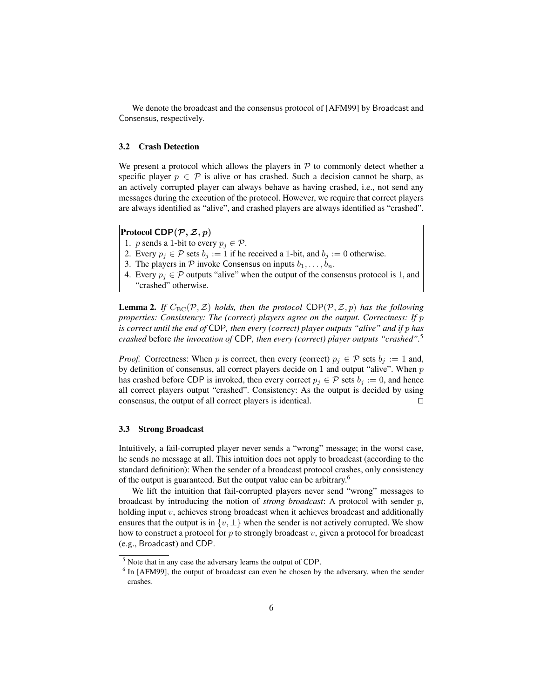We denote the broadcast and the consensus protocol of [AFM99] by Broadcast and Consensus, respectively.

### 3.2 Crash Detection

We present a protocol which allows the players in  $P$  to commonly detect whether a specific player  $p \in \mathcal{P}$  is alive or has crashed. Such a decision cannot be sharp, as an actively corrupted player can always behave as having crashed, i.e., not send any messages during the execution of the protocol. However, we require that correct players are always identified as "alive", and crashed players are always identified as "crashed".

Protocol  $CDP(\mathcal{P}, \mathcal{Z}, p)$ 

- 1. *p* sends a 1-bit to every  $p_i \in \mathcal{P}$ .
- 2. Every  $p_j \in \mathcal{P}$  sets  $b_j := 1$  if he received a 1-bit, and  $b_j := 0$  otherwise.
- 3. The players in  $P$  invoke Consensus on inputs  $b_1, \ldots, b_n$ .
- 4. Every  $p_j \in \mathcal{P}$  outputs "alive" when the output of the consensus protocol is 1, and "crashed" otherwise.

**Lemma 2.** If  $C_{\text{BC}}(\mathcal{P}, \mathcal{Z})$  *holds, then the protocol* CDP( $\mathcal{P}, \mathcal{Z}, p$ ) *has the following properties: Consistency: The (correct) players agree on the output. Correctness: If* p *is correct until the end of* CDP*, then every (correct) player outputs "alive" and if* p *has crashed* before *the invocation of* CDP*, then every (correct) player outputs "crashed".*<sup>5</sup>

*Proof.* Correctness: When p is correct, then every (correct)  $p_j \in \mathcal{P}$  sets  $b_j := 1$  and, by definition of consensus, all correct players decide on 1 and output "alive". When  $p$ has crashed before CDP is invoked, then every correct  $p_i \in \mathcal{P}$  sets  $b_i := 0$ , and hence all correct players output "crashed". Consistency: As the output is decided by using consensus, the output of all correct players is identical.  $\Box$ 

### 3.3 Strong Broadcast

Intuitively, a fail-corrupted player never sends a "wrong" message; in the worst case, he sends no message at all. This intuition does not apply to broadcast (according to the standard definition): When the sender of a broadcast protocol crashes, only consistency of the output is guaranteed. But the output value can be arbitrary.<sup>6</sup>

We lift the intuition that fail-corrupted players never send "wrong" messages to broadcast by introducing the notion of *strong broadcast*: A protocol with sender p, holding input  $v$ , achieves strong broadcast when it achieves broadcast and additionally ensures that the output is in  $\{v, \perp\}$  when the sender is not actively corrupted. We show how to construct a protocol for  $p$  to strongly broadcast  $v$ , given a protocol for broadcast (e.g., Broadcast) and CDP.

<sup>5</sup> Note that in any case the adversary learns the output of CDP.

<sup>&</sup>lt;sup>6</sup> In [AFM99], the output of broadcast can even be chosen by the adversary, when the sender crashes.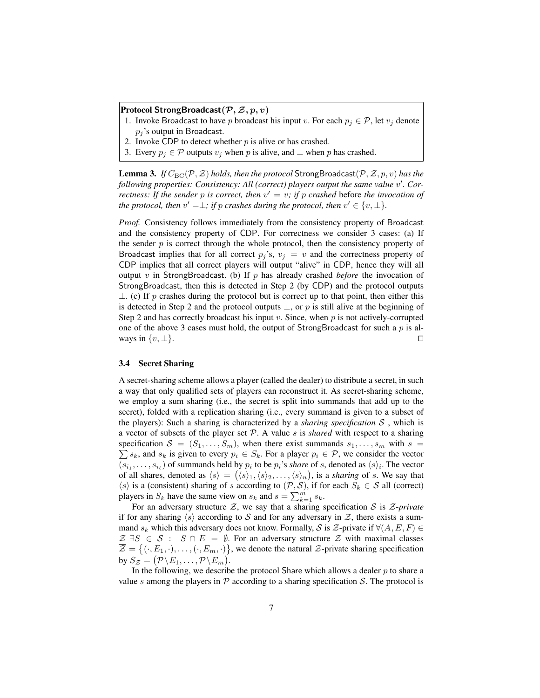Protocol StrongBroadcast $(\mathcal{P}, \mathcal{Z}, p, v)$ 

- 1. Invoke Broadcast to have p broadcast his input v. For each  $p_j \in \mathcal{P}$ , let  $v_j$  denote  $p_j$ 's output in Broadcast.
- 2. Invoke CDP to detect whether  $p$  is alive or has crashed.
- 3. Every  $p_j$  ∈  $P$  outputs  $v_j$  when p is alive, and ⊥ when p has crashed.

**Lemma 3.** *If*  $C_{\text{BC}}(\mathcal{P}, \mathcal{Z})$  *holds, then the protocol* StrongBroadcast( $\mathcal{P}, \mathcal{Z}, p, v$ ) *has the* following properties: Consistency: All (correct) players output the same value v'. Cor*rectness: If the sender*  $p$  *is correct, then*  $v' = v$ ; *if*  $p$  *crashed* before *the invocation of the protocol, then*  $v' = \bot$ *; if* p *crashes during the protocol, then*  $v' \in \{v, \bot\}$ *.* 

*Proof.* Consistency follows immediately from the consistency property of Broadcast and the consistency property of CDP. For correctness we consider 3 cases: (a) If the sender  $p$  is correct through the whole protocol, then the consistency property of Broadcast implies that for all correct  $p_i$ 's,  $v_i = v$  and the correctness property of CDP implies that all correct players will output "alive" in CDP, hence they will all output v in StrongBroadcast. (b) If p has already crashed *before* the invocation of StrongBroadcast, then this is detected in Step 2 (by CDP) and the protocol outputs  $\perp$ . (c) If p crashes during the protocol but is correct up to that point, then either this is detected in Step 2 and the protocol outputs  $\perp$ , or p is still alive at the beginning of Step 2 and has correctly broadcast his input  $v$ . Since, when  $p$  is not actively-corrupted one of the above 3 cases must hold, the output of StrongBroadcast for such a  $p$  is always in  $\{v, \perp\}$ .

#### 3.4 Secret Sharing

A secret-sharing scheme allows a player (called the dealer) to distribute a secret, in such a way that only qualified sets of players can reconstruct it. As secret-sharing scheme, we employ a sum sharing (i.e., the secret is split into summands that add up to the secret), folded with a replication sharing (i.e., every summand is given to a subset of the players): Such a sharing is characterized by a *sharing specification*  $S$ , which is a vector of subsets of the player set P. A value s is *shared* with respect to a sharing specification  $S = (S_1, \ldots, S_m)$ , when there exist summands  $s_1, \ldots, s_m$  with  $s =$  $\sum s_k$ , and  $s_k$  is given to every  $p_i \in S_k$ . For a player  $p_i \in \mathcal{P}$ , we consider the vector  $(s_{i_1}, \ldots, s_{i_\ell})$  of summands held by  $p_i$  to be  $p_i$ 's *share* of *s*, denoted as  $\langle s \rangle_i$ . The vector of all shares, denoted as  $\langle s \rangle = (\langle s \rangle_1, \langle s \rangle_2, \dots, \langle s \rangle_n)$ , is a *sharing* of s. We say that  $\langle s \rangle$  is a (consistent) sharing of s according to  $(\mathcal{P}, \mathcal{S})$ , if for each  $S_k \in \mathcal{S}$  all (correct) players in  $S_k$  have the same view on  $s_k$  and  $s = \sum_{k=1}^m s_k$ .

For an adversary structure  $Z$ , we say that a sharing specification  $S$  is  $Z$ -*private* if for any sharing  $\langle s \rangle$  according to S and for any adversary in Z, there exists a summand  $s_k$  which this adversary does not know. Formally, S is Z-private if  $\forall (A, E, F) \in$  $\mathcal{Z} \exists S \in \mathcal{S} : S \cap E = \emptyset$ . For an adversary structure  $\mathcal{Z}$  with maximal classes  $\overline{\mathcal{Z}} = \{ (\cdot, E_1, \cdot), \dots, (\cdot, E_m, \cdot) \},\$  we denote the natural  $\mathcal{Z}\text{-private sharing specification}$ by  $S_{\mathcal{Z}} = \bigl(\mathcal{P} \backslash E_1, \ldots, \mathcal{P} \backslash E_m \bigr).$ 

In the following, we describe the protocol Share which allows a dealer  $p$  to share a value s among the players in  $\mathcal P$  according to a sharing specification S. The protocol is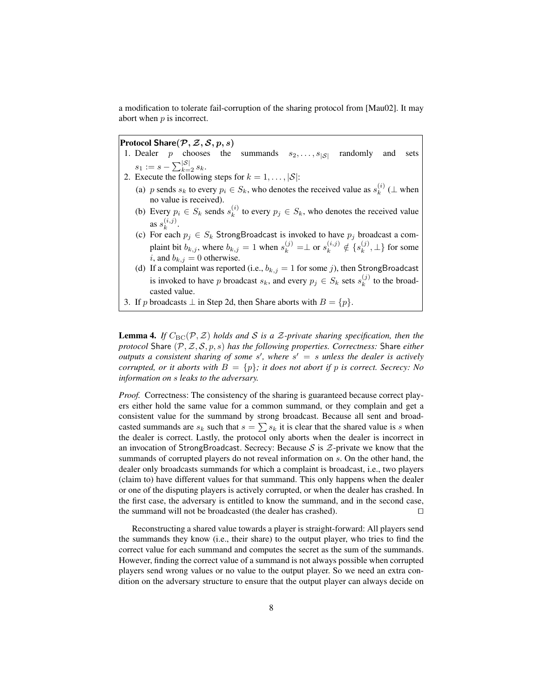a modification to tolerate fail-corruption of the sharing protocol from [Mau02]. It may abort when  $p$  is incorrect.

Protocol Share( $P$ ,  $Z$ ,  $S$ ,  $p$ ,  $s$ ) 1. Dealer p chooses the summands  $s_2, \ldots, s_{|S|}$  randomly and sets  $s_1 := s - \sum_{k=2}^{|\mathcal{S}|} s_k.$ 2. Execute the following steps for  $k = 1, \ldots, |\mathcal{S}|$ : (a) p sends  $s_k$  to every  $p_i \in S_k$ , who denotes the received value as  $s_k^{(i)}$  $\binom{[i]}{k}$  ( $\perp$  when no value is received). (b) Every  $p_i \in S_k$  sends  $s_k^{(i)}$  $k_k^{(i)}$  to every  $p_j \in S_k$ , who denotes the received value as  $s_k^{(i,j)}$  $\mathbf{R}^{(i,j)}$ . (c) For each  $p_i \in S_k$  StrongBroadcast is invoked to have  $p_i$  broadcast a complaint bit  $b_{k,j}$ , where  $b_{k,j} = 1$  when  $s_k^{(j)} = \perp$  or  $s_k^{(i,j)} \notin \{s_k^{(j)}\}$  $\{u^{(j)}_k, \perp\}$  for some i, and  $b_{k,j} = 0$  otherwise. (d) If a complaint was reported (i.e.,  $b_{k,j} = 1$  for some j), then StrongBroadcast is invoked to have p broadcast  $s_k$ , and every  $p_j \in S_k$  sets  $s_k^{(j)}$  $\binom{J}{k}$  to the broadcasted value. 3. If p broadcasts  $\perp$  in Step 2d, then Share aborts with  $B = \{p\}.$ 

**Lemma 4.** *If*  $C_{BC}(\mathcal{P}, \mathcal{Z})$  *holds and* S *is a*  $\mathcal{Z}$ -private sharing specification, then the *protocol* Share (P, Z, S, p, s) *has the following properties. Correctness:* Share *either outputs a consistent sharing of some s', where*  $s' = s$  *unless the dealer is actively corrupted, or it aborts with*  $B = \{p\}$ *; it does not abort if* p *is correct. Secrecy: No* 

*information on* s *leaks to the adversary.*

*Proof.* Correctness: The consistency of the sharing is guaranteed because correct players either hold the same value for a common summand, or they complain and get a consistent value for the summand by strong broadcast. Because all sent and broadcasted summands are  $s_k$  such that  $s = \sum s_k$  it is clear that the shared value is s when the dealer is correct. Lastly, the protocol only aborts when the dealer is incorrect in an invocation of StrongBroadcast. Secrecy: Because S is  $\mathcal{Z}$ -private we know that the summands of corrupted players do not reveal information on s. On the other hand, the dealer only broadcasts summands for which a complaint is broadcast, i.e., two players (claim to) have different values for that summand. This only happens when the dealer or one of the disputing players is actively corrupted, or when the dealer has crashed. In the first case, the adversary is entitled to know the summand, and in the second case, the summand will not be broadcasted (the dealer has crashed).  $\Box$ 

Reconstructing a shared value towards a player is straight-forward: All players send the summands they know (i.e., their share) to the output player, who tries to find the correct value for each summand and computes the secret as the sum of the summands. However, finding the correct value of a summand is not always possible when corrupted players send wrong values or no value to the output player. So we need an extra condition on the adversary structure to ensure that the output player can always decide on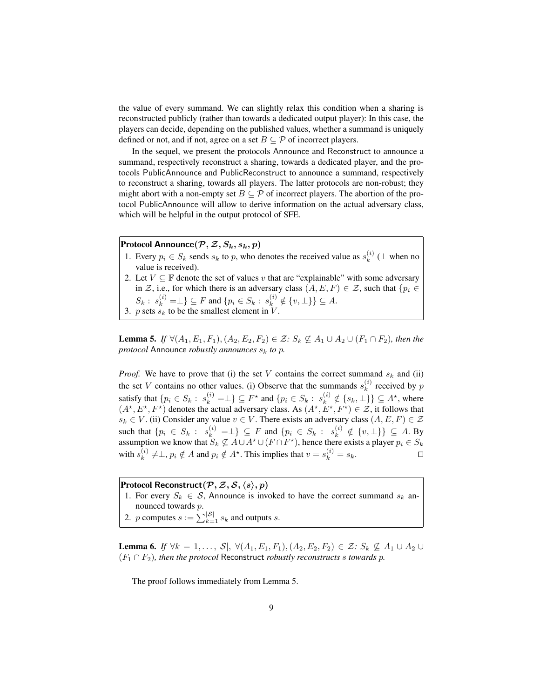the value of every summand. We can slightly relax this condition when a sharing is reconstructed publicly (rather than towards a dedicated output player): In this case, the players can decide, depending on the published values, whether a summand is uniquely defined or not, and if not, agree on a set  $B \subseteq \mathcal{P}$  of incorrect players.

In the sequel, we present the protocols Announce and Reconstruct to announce a summand, respectively reconstruct a sharing, towards a dedicated player, and the protocols PublicAnnounce and PublicReconstruct to announce a summand, respectively to reconstruct a sharing, towards all players. The latter protocols are non-robust; they might abort with a non-empty set  $B \subseteq \mathcal{P}$  of incorrect players. The abortion of the protocol PublicAnnounce will allow to derive information on the actual adversary class, which will be helpful in the output protocol of SFE.

Protocol Announce $(\mathcal{P}, \mathcal{Z}, S_k, s_k, p)$ 

- 1. Every  $p_i \in S_k$  sends  $s_k$  to p, who denotes the received value as  $s_k^{(i)}$  $k^{(i)}$  ( $\perp$  when no value is received).
- 2. Let  $V \subseteq \mathbb{F}$  denote the set of values v that are "explainable" with some adversary in Z, i.e., for which there is an adversary class  $(A, E, F) \in \mathcal{Z}$ , such that  $\{p_i \in$  $S_k : s_k^{(i)} = \perp$   $\} \subseteq F$  and  $\{p_i \in S_k : s_k^{(i)} \notin \{v, \perp\} \} \subseteq A$ . 3. *p* sets  $s_k$  to be the smallest element in  $V$ .

**Lemma 5.** *If*  $\forall (A_1, E_1, F_1), (A_2, E_2, F_2) \in \mathcal{Z}: S_k \not\subseteq A_1 \cup A_2 \cup (F_1 \cap F_2)$ *, then the* 

*protocol* Announce *robustly announces*  $s_k$  *to*  $p$ *.* 

*Proof.* We have to prove that (i) the set V contains the correct summand  $s_k$  and (ii) the set V contains no other values. (i) Observe that the summands  $s_k^{(i)}$  $k^{(i)}$  received by p satisfy that  $\{p_i \in S_k : s_k^{(i)} = \perp\} \subseteq F^{\star}$  and  $\{p_i \in S_k : s_k^{(i)} \notin \{s_k, \perp\}\} \subseteq A^{\star}$ , where  $(A^*, E^*, F^*)$  denotes the actual adversary class. As  $(A^*, E^*, F^*) \in \mathcal{Z}$ , it follows that  $s_k \in V$ . (ii) Consider any value  $v \in V$ . There exists an adversary class  $(A, E, F) \in \mathcal{Z}$ such that  $\{p_i \in S_k : s_k^{(i)} = \perp\} \subseteq F$  and  $\{p_i \in S_k : s_k^{(i)} \notin \{v, \perp\}\} \subseteq A$ . By assumption we know that  $\hat{S}_k \nsubseteq A \cup A^{\star} \cup (F \cap F^{\star})$ , hence there exists a player  $p_i \in S_k$ with  $s_k^{(i)}$  $k_k^{(i)} \neq \perp$ ,  $p_i \notin A$  and  $p_i \notin A^*$ . This implies that  $v = s_k^{(i)} = s_k$ .

Protocol Reconstruct $(\mathcal{P}, \mathcal{Z}, \mathcal{S}, \langle s \rangle, p)$ 1. For every  $S_k \in \mathcal{S}$ , Announce is invoked to have the correct summand  $s_k$  announced towards p. 2. *p* computes  $s := \sum_{k=1}^{|S|} s_k$  and outputs *s*.

**Lemma 6.** *If*  $\forall k = 1, ..., |\mathcal{S}|$ ,  $\forall (A_1, E_1, F_1), (A_2, E_2, F_2) \in \mathcal{Z}: S_k \nsubseteq A_1 \cup A_2 \cup$  $(F_1 \cap F_2)$ *, then the protocol* Reconstruct *robustly reconstructs s towards p*.

The proof follows immediately from Lemma 5.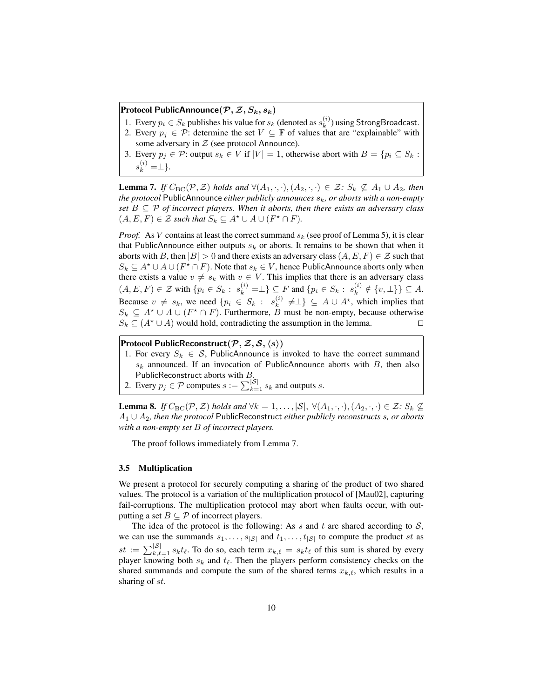Protocol PublicAnnounce $(\mathcal{P}, \mathcal{Z}, S_k, s_k)$ 

- 1. Every  $p_i \in S_k$  publishes his value for  $s_k$  (denoted as  $s_k^{(i)}$ )  $\binom{u}{k}$ ) using StrongBroadcast.
- 2. Every  $p_i \in \mathcal{P}$ : determine the set  $V \subseteq \mathbb{F}$  of values that are "explainable" with some adversary in  $Z$  (see protocol Announce).
- 3. Every  $p_i \in \mathcal{P}$ : output  $s_k \in V$  if  $|V| = 1$ , otherwise abort with  $B = \{p_i \subseteq S_k : S \in V : S \in V \}$  $s_k^{(i)} = \perp$  }.

**Lemma 7.** *If*  $C_{BC}(\mathcal{P}, \mathcal{Z})$  *holds and*  $\forall (A_1, \cdot, \cdot), (A_2, \cdot, \cdot) \in \mathcal{Z}$ :  $S_k \not\subseteq A_1 \cup A_2$ , then *the protocol* PublicAnnounce *either publicly announces*  $s_k$ , or aborts with a non-empty *set*  $B \subseteq P$  *of incorrect players. When it aborts, then there exists an adversary class*  $(A, E, F) \in \mathcal{Z}$  *such that*  $S_k \subseteq A^* \cup A \cup (F^* \cap F)$ *.* 

*Proof.* As V contains at least the correct summand  $s_k$  (see proof of Lemma 5), it is clear that PublicAnnounce either outputs  $s_k$  or aborts. It remains to be shown that when it aborts with B, then  $|B| > 0$  and there exists an adversary class  $(A, E, F) \in \mathcal{Z}$  such that  $S_k \subseteq A^* \cup A \cup (F^* \cap F)$ . Note that  $s_k \in V$ , hence PublicAnnounce aborts only when there exists a value  $v \neq s_k$  with  $v \in V$ . This implies that there is an adversary class  $(A, E, F) \in \mathcal{Z}$  with  $\{p_i \in S_k : s_k^{(i)} = \perp\} \subseteq F$  and  $\{p_i \in S_k : s_k^{(i)} \notin \{v, \perp\}\} \subseteq A$ . Because  $v \neq s_k$ , we need  $\{p_i \in S_k : s_k^{(i)}\}$  $\{e^{(i)}\neq \perp\} \subseteq A \cup A^*$ , which implies that  $S_k \subseteq A^* \cup A \cup (F^* \cap F)$ . Furthermore, B must be non-empty, because otherwise  $S_k \subseteq (A^* \cup A)$  would hold, contradicting the assumption in the lemma.

Protocol PublicReconstruct $(\mathcal{P}, \mathcal{Z}, \mathcal{S}, \langle s \rangle)$ 

- 1. For every  $S_k \in \mathcal{S}$ , PublicAnnounce is invoked to have the correct summand  $s_k$  announced. If an invocation of PublicAnnounce aborts with B, then also PublicReconstruct aborts with B.
- 2. Every  $p_j \in \mathcal{P}$  computes  $s := \sum_{k=1}^{|\mathcal{S}|} s_k$  and outputs s.

**Lemma 8.** *If*  $C_{BC}(\mathcal{P}, \mathcal{Z})$  *holds and*  $\forall k = 1, \ldots, |\mathcal{S}|$ ,  $\forall (A_1, \cdot, \cdot), (A_2, \cdot, \cdot) \in \mathcal{Z}$ :  $S_k \not\subseteq$ A<sup>1</sup> ∪ A2*, then the protocol* PublicReconstruct *either publicly reconstructs* s*, or aborts with a non-empty set* B *of incorrect players.*

The proof follows immediately from Lemma 7.

#### 3.5 Multiplication

We present a protocol for securely computing a sharing of the product of two shared values. The protocol is a variation of the multiplication protocol of [Mau02], capturing fail-corruptions. The multiplication protocol may abort when faults occur, with outputting a set  $B \subset \mathcal{P}$  of incorrect players.

The idea of the protocol is the following: As s and t are shared according to  $S$ , we can use the summands  $s_1, \ldots, s_{|\mathcal{S}|}$  and  $t_1, \ldots, t_{|\mathcal{S}|}$  to compute the product st as  $st := \sum_{k,\ell=1}^{|S|} s_k t_{\ell}$ . To do so, each term  $x_{k,\ell} = s_k t_{\ell}$  of this sum is shared by every player knowing both  $s_k$  and  $t_\ell$ . Then the players perform consistency checks on the shared summands and compute the sum of the shared terms  $x_{k,\ell}$ , which results in a sharing of st.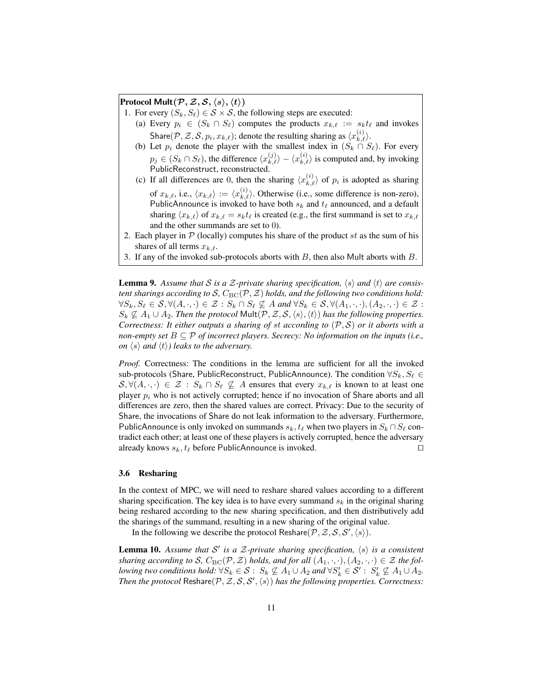Protocol Mult $(\mathcal{P}, \mathcal{Z}, \mathcal{S}, \langle s \rangle, \langle t \rangle)$ 

- 1. For every  $(S_k, S_\ell) \in S \times S$ , the following steps are executed:
- (a) Every  $p_i \in (S_k \cap S_\ell)$  computes the products  $x_{k,\ell} := s_k t_\ell$  and invokes Share $(\mathcal{P}, \mathcal{Z}, \mathcal{S}, p_i, x_{k,\ell})$ ; denote the resulting sharing as  $\langle x_{k,\ell}^{(i)} \rangle$ .
	- (b) Let  $p_i$  denote the player with the smallest index in  $(S_k \cap S_\ell)$ . For every  $p_j \in (S_k \cap S_\ell)$ , the difference  $\langle x_{k,\ell}^{(j)} \rangle - \langle x_{k,\ell}^{(i)} \rangle$  is computed and, by invoking PublicReconstruct, reconstructed.
- (c) If all differences are 0, then the sharing  $\langle x_{k,\ell}^{(i)} \rangle$  of  $p_i$  is adopted as sharing of  $x_{k,\ell}$ , i.e.,  $\langle x_{k,\ell} \rangle := \langle x_{k,\ell}^{(i)} \rangle$ . Otherwise (i.e., some difference is non-zero), PublicAnnounce is invoked to have both  $s_k$  and  $t_\ell$  announced, and a default sharing  $\langle x_{k,\ell} \rangle$  of  $x_{k,\ell} = s_k t_\ell$  is created (e.g., the first summand is set to  $x_{k,\ell}$ and the other summands are set to 0).
- 2. Each player in  $P$  (locally) computes his share of the product st as the sum of his shares of all terms  $x_{k,\ell}$ .
- 3. If any of the invoked sub-protocols aborts with B, then also Mult aborts with B.

**Lemma 9.** Assume that S is a Z-private sharing specification,  $\langle s \rangle$  and  $\langle t \rangle$  are consis*tent sharings according to S,*  $C_{BC}(\mathcal{P}, \mathcal{Z})$  *holds, and the following two conditions hold:*  $\forall S_k, S_\ell \in \mathcal{S}, \forall (A, \cdot, \cdot) \in \mathcal{Z} : S_k \cap S_\ell \not\subseteq A$  and  $\forall S_k \in \mathcal{S}, \forall (A_1, \cdot, \cdot), (A_2, \cdot, \cdot) \in \mathcal{Z}$ :  $S_k \nsubseteq A_1 \cup A_2$ . Then the protocol Mult $(\mathcal{P}, \mathcal{Z}, \mathcal{S}, \langle s \rangle, \langle t \rangle)$  has the following properties. *Correctness: It either outputs a sharing of* st *according to* (P, S) *or it aborts with a non-empty set* B ⊆ P *of incorrect players. Secrecy: No information on the inputs (i.e., on*  $\langle s \rangle$  *and*  $\langle t \rangle$ *) leaks to the adversary.* 

*Proof.* Correctness: The conditions in the lemma are sufficient for all the invoked sub-protocols (Share, PublicReconstruct, PublicAnnounce). The condition  $\forall S_k, S_\ell \in$  $S, \forall (A, \cdot, \cdot) \in \mathcal{Z}: S_k \cap S_k \not\subseteq A$  ensures that every  $x_{k,\ell}$  is known to at least one player  $p_i$  who is not actively corrupted; hence if no invocation of Share aborts and all differences are zero, then the shared values are correct. Privacy: Due to the security of Share, the invocations of Share do not leak information to the adversary. Furthermore, PublicAnnounce is only invoked on summands  $s_k, t_\ell$  when two players in  $S_k \cap S_\ell$  contradict each other; at least one of these players is actively corrupted, hence the adversary already knows  $s_k, t_\ell$  before PublicAnnounce is invoked.

#### 3.6 Resharing

In the context of MPC, we will need to reshare shared values according to a different sharing specification. The key idea is to have every summand  $s_k$  in the original sharing being reshared according to the new sharing specification, and then distributively add the sharings of the summand, resulting in a new sharing of the original value.

In the following we describe the protocol Reshare $(\mathcal{P}, \mathcal{Z}, \mathcal{S}, \mathcal{S}', \langle s \rangle)$ .

**Lemma 10.** Assume that S' is a Z-private sharing specification,  $\langle s \rangle$  is a consistent *sharing according to S,*  $C_{BC}(P, \mathcal{Z})$  *holds, and for all*  $(A_1, \cdot, \cdot), (A_2, \cdot, \cdot) \in \mathcal{Z}$  *the following two conditions hold:*  $\forall S_k \in \mathcal{S} : S_k \not\subseteq A_1 \cup A_2$  and  $\forall S'_k \in \mathcal{S}' : S'_k \not\subseteq A_1 \cup A_2$ . Then the protocol Reshare $(\mathcal{P}, \mathcal{Z}, \mathcal{S}, \mathcal{S}', \langle s \rangle)$  *has the following properties. Correctness:*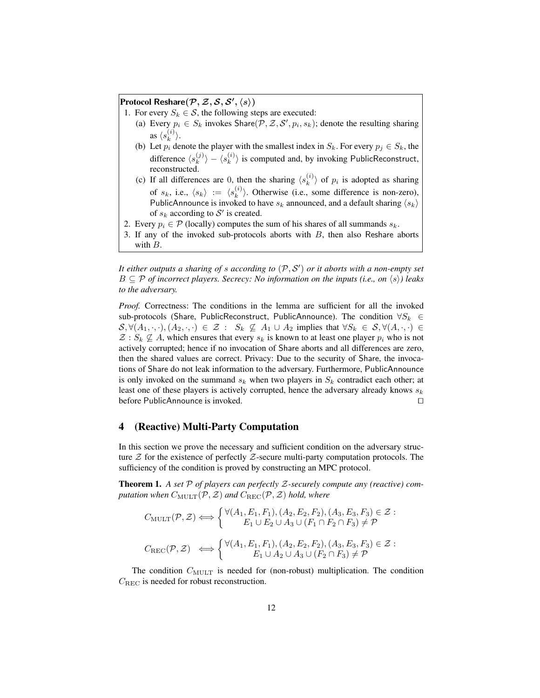Protocol Reshare $(\mathcal{P}, \mathcal{Z}, \mathcal{S}, \mathcal{S}', \langle s \rangle)$ 

- 1. For every  $S_k \in \mathcal{S}$ , the following steps are executed:
	- (a) Every  $p_i \in S_k$  invokes Share( $\mathcal{P}, \mathcal{Z}, \mathcal{S}', p_i, s_k$ ); denote the resulting sharing as  $\langle s_k^{(i)}\>$  $\binom{i}{k}.$
	- (b) Let  $p_i$  denote the player with the smallest index in  $S_k$ . For every  $p_j \in S_k$ , the difference  $\langle s_k^{(j)} \rangle$  $\genfrac{\langle}{\rangle}{0pt}{}{j}{k} - \genfrac{\langle}{\rangle}{0pt}{}{s^{(i)}_k}{k}$  $\binom{n}{k}$  is computed and, by invoking PublicReconstruct, reconstructed.
	- (c) If all differences are 0, then the sharing  $\langle s_k^{(i)} \rangle$  $\binom{v}{k}$  of  $p_i$  is adopted as sharing of  $s_k$ , i.e.,  $\langle s_k \rangle := \langle s_k^{(i)} \rangle$  $\binom{n}{k}$ . Otherwise (i.e., some difference is non-zero), PublicAnnounce is invoked to have  $s_k$  announced, and a default sharing  $\langle s_k \rangle$ of  $s_k$  according to  $S'$  is created.
- 2. Every  $p_i \in \mathcal{P}$  (locally) computes the sum of his shares of all summands  $s_k$ .
- 3. If any of the invoked sub-protocols aborts with B, then also Reshare aborts with  $B$ .

*It either outputs a sharing of* s *according to* (P, S 0 ) *or it aborts with a non-empty set*  $B \subseteq \mathcal{P}$  *of incorrect players. Secrecy: No information on the inputs (i.e., on*  $\langle s \rangle$ *) leaks to the adversary.*

*Proof.* Correctness: The conditions in the lemma are sufficient for all the invoked sub-protocols (Share, PublicReconstruct, PublicAnnounce). The condition  $\forall S_k \in$  $S, \forall (A_1, \cdot, \cdot), (A_2, \cdot, \cdot) \in \mathcal{Z}$ :  $S_k \not\subseteq A_1 \cup A_2$  implies that  $\forall S_k \in S, \forall (A, \cdot, \cdot) \in$  $\mathcal{Z}: S_k \not\subseteq A$ , which ensures that every  $s_k$  is known to at least one player  $p_i$  who is not actively corrupted; hence if no invocation of Share aborts and all differences are zero, then the shared values are correct. Privacy: Due to the security of Share, the invocations of Share do not leak information to the adversary. Furthermore, PublicAnnounce is only invoked on the summand  $s_k$  when two players in  $S_k$  contradict each other; at least one of these players is actively corrupted, hence the adversary already knows  $s_k$ **before PublicAnnounce is invoked.** utilized the set of the set of the set of the set of the set of the set of the set of the set of the set of the set of the set of the set of the set of the set of the set of the set of t

# 4 (Reactive) Multi-Party Computation

In this section we prove the necessary and sufficient condition on the adversary structure  $\mathcal Z$  for the existence of perfectly  $\mathcal Z$ -secure multi-party computation protocols. The sufficiency of the condition is proved by constructing an MPC protocol.

Theorem 1. *A set* P *of players can perfectly* Z*-securely compute any (reactive) computation when*  $C_{\text{MULT}}(\mathcal{P}, \mathcal{Z})$  *and*  $C_{\text{REC}}(\mathcal{P}, \mathcal{Z})$  *hold, where* 

$$
C_{\text{MULT}}(\mathcal{P}, \mathcal{Z}) \Longleftrightarrow \begin{cases} \forall (A_1, E_1, F_1), (A_2, E_2, F_2), (A_3, E_3, F_3) \in \mathcal{Z} : \\ E_1 \cup E_2 \cup A_3 \cup (F_1 \cap F_2 \cap F_3) \neq \mathcal{P} \end{cases}
$$

$$
C_{\text{REC}}(\mathcal{P}, \mathcal{Z}) \iff \begin{cases} \forall (A_1, E_1, F_1), (A_2, E_2, F_2), (A_3, E_3, F_3) \in \mathcal{Z} : \\ E_1 \cup A_2 \cup A_3 \cup (F_2 \cap F_3) \neq \mathcal{P} \end{cases}
$$

The condition  $C_{\text{MULT}}$  is needed for (non-robust) multiplication. The condition  $C_{\text{REC}}$  is needed for robust reconstruction.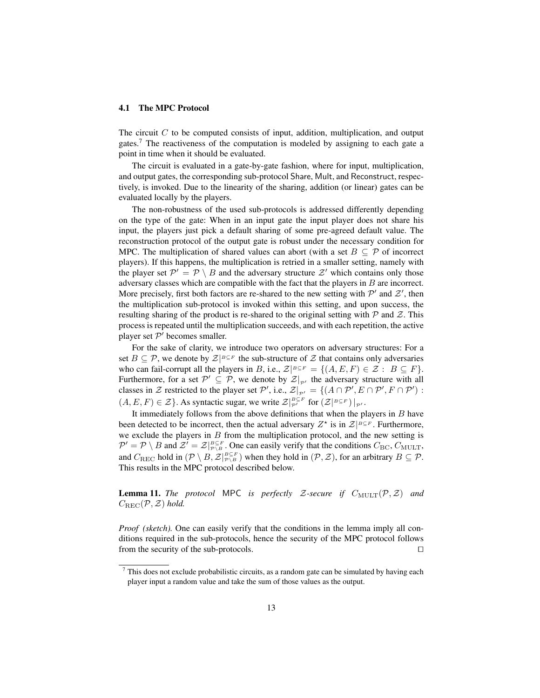#### 4.1 The MPC Protocol

The circuit  $C$  to be computed consists of input, addition, multiplication, and output gates.<sup>7</sup> The reactiveness of the computation is modeled by assigning to each gate a point in time when it should be evaluated.

The circuit is evaluated in a gate-by-gate fashion, where for input, multiplication, and output gates, the corresponding sub-protocol Share, Mult, and Reconstruct, respectively, is invoked. Due to the linearity of the sharing, addition (or linear) gates can be evaluated locally by the players.

The non-robustness of the used sub-protocols is addressed differently depending on the type of the gate: When in an input gate the input player does not share his input, the players just pick a default sharing of some pre-agreed default value. The reconstruction protocol of the output gate is robust under the necessary condition for MPC. The multiplication of shared values can abort (with a set  $B \subseteq \mathcal{P}$  of incorrect players). If this happens, the multiplication is retried in a smaller setting, namely with the player set  $\mathcal{P}' = \mathcal{P} \setminus B$  and the adversary structure  $\mathcal{Z}'$  which contains only those adversary classes which are compatible with the fact that the players in B are incorrect. More precisely, first both factors are re-shared to the new setting with  $\mathcal{P}'$  and  $\mathcal{Z}'$ , then the multiplication sub-protocol is invoked within this setting, and upon success, the resulting sharing of the product is re-shared to the original setting with  $P$  and  $Z$ . This process is repeated until the multiplication succeeds, and with each repetition, the active player set  $P'$  becomes smaller.

For the sake of clarity, we introduce two operators on adversary structures: For a set  $B \subseteq \mathcal{P}$ , we denote by  $\mathcal{Z}|_{B \subseteq F}$  the sub-structure of  $\mathcal Z$  that contains only adversaries who can fail-corrupt all the players in B, i.e.,  $\mathcal{Z}|^{B\subseteq F} = \{(A, E, F) \in \mathcal{Z} : B \subseteq F\}.$ Furthermore, for a set  $\mathcal{P}' \subseteq \mathcal{P}$ , we denote by  $\mathcal{Z}|_{\mathcal{P}'}$  the adversary structure with all classes in Z restricted to the player set  $\mathcal{P}',$  i.e.,  $\mathcal{Z}|_{\mathcal{P}'} = \{(A \cap \mathcal{P}', E \cap \mathcal{P}', F \cap \mathcal{P}')$ :  $(A, E, F) \in \mathcal{Z}$ . As syntactic sugar, we write  $\mathcal{Z}|_{\mathcal{P}'}^{B \subseteq F}$  for  $(\mathcal{Z}|_{B \subseteq F})|_{\mathcal{P}'}$ .

It immediately follows from the above definitions that when the players in  $B$  have been detected to be incorrect, then the actual adversary  $Z^*$  is in  $\mathcal{Z} |_{B \subseteq F}$ . Furthermore, we exclude the players in  $B$  from the multiplication protocol, and the new setting is  $\mathcal{P}' = \mathcal{P} \setminus B$  and  $\mathcal{Z}' = \mathcal{Z}|_{\mathcal{P} \setminus B}^{B \subseteq F}$ . One can easily verify that the conditions  $C_{BC}$ ,  $C_{MULT}$ , and  $C_{\text{REC}}$  hold in  $(\mathcal{P} \setminus B, \mathcal{Z}|_{\mathcal{P} \setminus B}^{\mathcal{B} \subseteq F})$  when they hold in  $(\mathcal{P}, \mathcal{Z})$ , for an arbitrary  $B \subseteq \mathcal{P}$ . This results in the MPC protocol described below.

**Lemma 11.** *The protocol* MPC *is perfectly Z-secure if*  $C_{\text{MULT}}(\mathcal{P}, \mathcal{Z})$  *and*  $C_{\text{REC}}(\mathcal{P}, \mathcal{Z})$  *hold.* 

*Proof (sketch).* One can easily verify that the conditions in the lemma imply all conditions required in the sub-protocols, hence the security of the MPC protocol follows from the security of the sub-protocols.  $\Box$ 

 $<sup>7</sup>$  This does not exclude probabilistic circuits, as a random gate can be simulated by having each</sup> player input a random value and take the sum of those values as the output.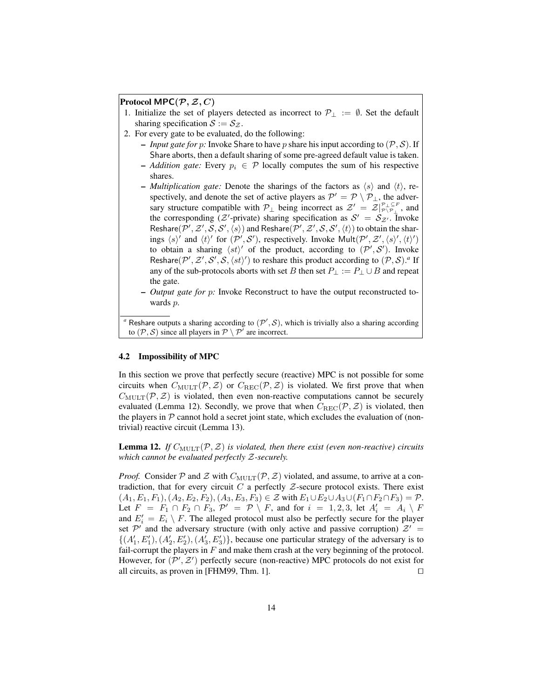Protocol MPC $(\mathcal{P}, \mathcal{Z}, C)$ 

- 1. Initialize the set of players detected as incorrect to  $\mathcal{P}_\perp := \emptyset$ . Set the default sharing specification  $S := S_{\mathcal{Z}}$ .
- 2. For every gate to be evaluated, do the following:
	- *Input gate for p*: Invoke Share to have p share his input according to  $(\mathcal{P}, \mathcal{S})$ . If Share aborts, then a default sharing of some pre-agreed default value is taken.
	- *Addition gate:* Every  $p_i \in \mathcal{P}$  locally computes the sum of his respective shares.
	- *Multiplication gate:* Denote the sharings of the factors as  $\langle s \rangle$  and  $\langle t \rangle$ , respectively, and denote the set of active players as  $\mathcal{P}' = \mathcal{P} \setminus \mathcal{P}_{\perp}$ , the adversary structure compatible with  $\mathcal{P}_\perp$  being incorrect as  $\mathcal{Z}' = \mathcal{Z}|_{\mathcal{P}\setminus\mathcal{P}_\perp}^{\mathcal{P}_\perp\subseteq F}$ , and the corresponding ( $Z'$ -private) sharing specification as  $S' = S_{Z'}$ . Invoke Reshare( $\mathcal{P}', \mathcal{Z}', \mathcal{S}, \mathcal{S}', \langle s \rangle$ ) and Reshare( $\mathcal{P}', \mathcal{Z}', \mathcal{S}, \mathcal{S}', \langle t \rangle$ ) to obtain the sharings  $\langle s \rangle'$  and  $\langle t \rangle'$  for  $(\mathcal{P}', \mathcal{S}')$ , respectively. Invoke Mult $(\mathcal{P}', \mathcal{Z}', \langle s \rangle', \langle t \rangle')$ to obtain a sharing  $\langle st \rangle'$  of the product, according to  $(\mathcal{P}', \mathcal{S}')$ . Invoke Reshare( $\mathcal{P}', \mathcal{Z}', \mathcal{S}', \mathcal{S}, \langle st \rangle'$ ) to reshare this product according to  $(\mathcal{P}, \mathcal{S})$ .<sup>*a*</sup> If any of the sub-protocols aborts with set B then set  $P_{\perp} := P_{\perp} \cup B$  and repeat the gate.
	- *Output gate for* p*:* Invoke Reconstruct to have the output reconstructed towards p.

<sup>*a*</sup> Reshare outputs a sharing according to  $(\mathcal{P}', \mathcal{S})$ , which is trivially also a sharing according to  $(\mathcal{P}, \mathcal{S})$  since all players in  $\mathcal{P} \setminus \mathcal{P}'$  are incorrect.

## 4.2 Impossibility of MPC

In this section we prove that perfectly secure (reactive) MPC is not possible for some circuits when  $C_{\text{MULT}}(\mathcal{P}, \mathcal{Z})$  or  $C_{\text{REC}}(\mathcal{P}, \mathcal{Z})$  is violated. We first prove that when  $C_{\text{MULT}}(\mathcal{P}, \mathcal{Z})$  is violated, then even non-reactive computations cannot be securely evaluated (Lemma 12). Secondly, we prove that when  $C_{\text{REC}}(\mathcal{P}, \mathcal{Z})$  is violated, then the players in  $P$  cannot hold a secret joint state, which excludes the evaluation of (nontrivial) reactive circuit (Lemma 13).

**Lemma 12.** If  $C_{\text{MULT}}(\mathcal{P}, \mathcal{Z})$  *is violated, then there exist (even non-reactive) circuits which cannot be evaluated perfectly* Z*-securely.*

*Proof.* Consider  $P$  and  $Z$  with  $C_{\text{MULT}}(P, Z)$  violated, and assume, to arrive at a contradiction, that for every circuit  $C$  a perfectly  $Z$ -secure protocol exists. There exist  $(A_1, E_1, F_1), (A_2, E_2, F_2), (A_3, E_3, F_3) \in \mathcal{Z}$  with  $E_1 \cup E_2 \cup A_3 \cup (F_1 \cap F_2 \cap F_3) = \mathcal{P}$ . Let  $F = F_1 \cap F_2 \cap F_3$ ,  $\mathcal{P}' = \mathcal{P} \setminus F$ , and for  $i = 1, 2, 3$ , let  $A'_i = A_i \setminus F$ and  $E'_i = E_i \setminus F$ . The alleged protocol must also be perfectly secure for the player set  $\mathcal{P}'$  and the adversary structure (with only active and passive corruption)  $\mathcal{Z}'$  =  $\{(A'_1, E'_1), (A'_2, E'_2), (A'_3, E'_3)\}\$ , because one particular strategy of the adversary is to fail-corrupt the players in  $F$  and make them crash at the very beginning of the protocol. However, for  $(\mathcal{P}', \mathcal{Z}')$  perfectly secure (non-reactive) MPC protocols do not exist for all circuits, as proven in [FHM99, Thm. 1].  $\Box$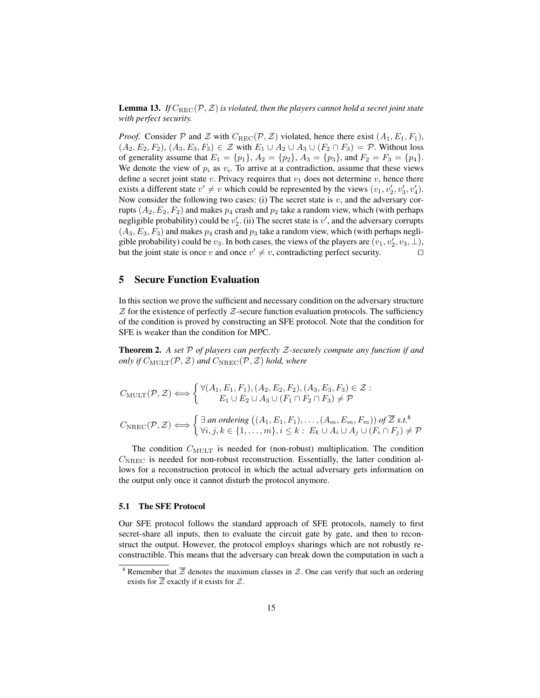**Lemma 13.** If  $C_{\text{REC}}(P, \mathcal{Z})$  is violated, then the players cannot hold a secret joint state *with perfect security.*

*Proof.* Consider P and Z with  $C_{\text{REC}}(\mathcal{P}, \mathcal{Z})$  violated, hence there exist  $(A_1, E_1, F_1)$ ,  $(A_2, E_2, F_2), (A_3, E_3, F_3) \in \mathcal{Z}$  with  $E_1 \cup A_2 \cup A_3 \cup (F_2 \cap F_3) = \mathcal{P}$ . Without loss of generality assume that  $E_1 = \{p_1\}$ ,  $A_2 = \{p_2\}$ ,  $A_3 = \{p_3\}$ , and  $F_2 = F_3 = \{p_4\}$ . We denote the view of  $p_i$  as  $v_i$ . To arrive at a contradiction, assume that these views define a secret joint state  $v$ . Privacy requires that  $v_1$  does not determine  $v$ , hence there exists a different state  $v' \neq v$  which could be represented by the views  $(v_1, v'_2, v'_3, v'_4)$ . Now consider the following two cases: (i) The secret state is  $v$ , and the adversary corrupts  $(A_2, E_2, F_2)$  and makes  $p_4$  crash and  $p_2$  take a random view, which (with perhaps negligible probability) could be  $v_2'$ . (ii) The secret state is  $v'$ , and the adversary corrupts  $(A_3, E_3, F_3)$  and makes  $p_4$  crash and  $p_3$  take a random view, which (with perhaps negligible probability) could be  $v_3$ . In both cases, the views of the players are  $(v_1, v'_2, v_3, \perp)$ , but the joint state is once v and once  $v' \neq v$ , contradicting perfect security.

# 5 Secure Function Evaluation

In this section we prove the sufficient and necessary condition on the adversary structure  $Z$  for the existence of perfectly  $Z$ -secure function evaluation protocols. The sufficiency of the condition is proved by constructing an SFE protocol. Note that the condition for SFE is weaker than the condition for MPC.

Theorem 2. *A set* P *of players can perfectly* Z*-securely compute any function if and only if*  $C_{\text{MULT}}(\mathcal{P}, \mathcal{Z})$  *and*  $C_{\text{ NREC}}(\mathcal{P}, \mathcal{Z})$  *hold, where* 

$$
C_{\text{MULT}}(\mathcal{P}, \mathcal{Z}) \Longleftrightarrow \begin{cases} \forall (A_1, E_1, F_1), (A_2, E_2, F_2), (A_3, E_3, F_3) \in \mathcal{Z} : \\ E_1 \cup E_2 \cup A_3 \cup (F_1 \cap F_2 \cap F_3) \neq \mathcal{P} \end{cases}
$$

 $C_{\text{NREC}}(\mathcal{P}, \mathcal{Z}) \Longleftrightarrow \begin{cases} \exists \text{ an ordering } ((A_1, E_1, F_1), \dots, (A_m, E_m, F_m)) \text{ of } \overline{\mathcal{Z}} \text{ s.t.}^8 \\ \forall i, i, k \in \{1, \dots, m\} \text{ s.t. } F_1 + A + A + (F_2 \cap F_1) \text{ s.t. } F_2 + A + B + C \text{ s.t. } F_3 + B + C \text{ s.t. } F_4 + B + C + C \text{ s.t. } F_5 + A + C + C + C \text{ s.t. } F_6 + B + C + C + C \text{ s.t. } F$  $\forall i, j, k \in \{1, \ldots, m\}, i \leq k : E_k \cup A_i \cup A_j \cup (F_i \cap F_j) \neq \mathcal{P}$ 

The condition  $C_{\text{MULT}}$  is needed for (non-robust) multiplication. The condition  $C<sub>NREC</sub>$  is needed for non-robust reconstruction. Essentially, the latter condition allows for a reconstruction protocol in which the actual adversary gets information on the output only once it cannot disturb the protocol anymore.

# 5.1 The SFE Protocol

Our SFE protocol follows the standard approach of SFE protocols, namely to first secret-share all inputs, then to evaluate the circuit gate by gate, and then to reconstruct the output. However, the protocol employs sharings which are not robustly reconstructible. This means that the adversary can break down the computation in such a

<sup>&</sup>lt;sup>8</sup> Remember that  $\overline{Z}$  denotes the maximum classes in  $Z$ . One can verify that such an ordering exists for  $\overline{z}$  exactly if it exists for  $\overline{z}$ .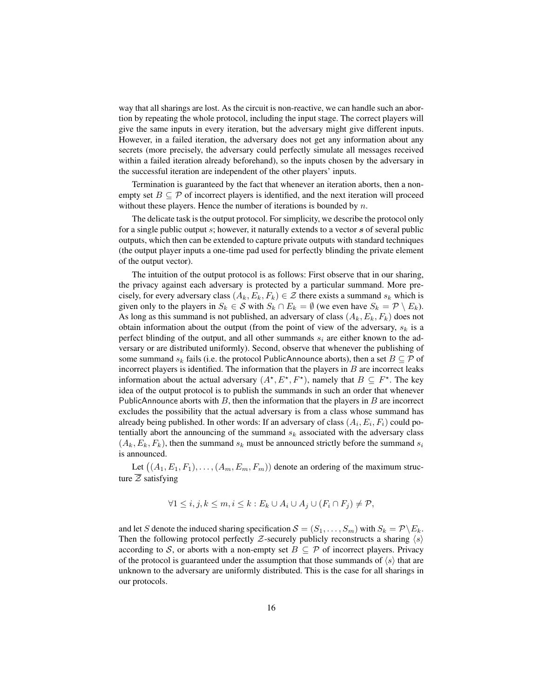way that all sharings are lost. As the circuit is non-reactive, we can handle such an abortion by repeating the whole protocol, including the input stage. The correct players will give the same inputs in every iteration, but the adversary might give different inputs. However, in a failed iteration, the adversary does not get any information about any secrets (more precisely, the adversary could perfectly simulate all messages received within a failed iteration already beforehand), so the inputs chosen by the adversary in the successful iteration are independent of the other players' inputs.

Termination is guaranteed by the fact that whenever an iteration aborts, then a nonempty set  $B \subseteq \mathcal{P}$  of incorrect players is identified, and the next iteration will proceed without these players. Hence the number of iterations is bounded by  $n$ .

The delicate task is the output protocol. For simplicity, we describe the protocol only for a single public output s; however, it naturally extends to a vector s of several public outputs, which then can be extended to capture private outputs with standard techniques (the output player inputs a one-time pad used for perfectly blinding the private element of the output vector).

The intuition of the output protocol is as follows: First observe that in our sharing, the privacy against each adversary is protected by a particular summand. More precisely, for every adversary class  $(A_k, E_k, F_k) \in \mathcal{Z}$  there exists a summand  $s_k$  which is given only to the players in  $S_k \in \mathcal{S}$  with  $S_k \cap E_k = \emptyset$  (we even have  $S_k = \mathcal{P} \setminus E_k$ ). As long as this summand is not published, an adversary of class  $(A_k, E_k, F_k)$  does not obtain information about the output (from the point of view of the adversary,  $s_k$  is a perfect blinding of the output, and all other summands  $s_i$  are either known to the adversary or are distributed uniformly). Second, observe that whenever the publishing of some summand  $s_k$  fails (i.e. the protocol PublicAnnounce aborts), then a set  $B \subseteq \mathcal{P}$  of incorrect players is identified. The information that the players in  $B$  are incorrect leaks information about the actual adversary  $(A^*, E^*, F^*)$ , namely that  $B \subseteq F^*$ . The key idea of the output protocol is to publish the summands in such an order that whenever PublicAnnounce aborts with  $B$ , then the information that the players in  $B$  are incorrect excludes the possibility that the actual adversary is from a class whose summand has already being published. In other words: If an adversary of class  $(A_i, E_i, F_i)$  could potentially abort the announcing of the summand  $s_k$  associated with the adversary class  $(A_k, E_k, F_k)$ , then the summand  $s_k$  must be announced strictly before the summand  $s_i$ is announced.

Let  $((A_1, E_1, F_1), \ldots, (A_m, E_m, F_m))$  denote an ordering of the maximum structure  $\overline{z}$  satisfying

$$
\forall 1 \leq i, j, k \leq m, i \leq k : E_k \cup A_i \cup A_j \cup (F_i \cap F_j) \neq \mathcal{P},
$$

and let S denote the induced sharing specification  $S = (S_1, \ldots, S_m)$  with  $S_k = \mathcal{P} \backslash E_k$ . Then the following protocol perfectly  $\mathcal{Z}$ -securely publicly reconstructs a sharing  $\langle s \rangle$ according to S, or aborts with a non-empty set  $B \subseteq \mathcal{P}$  of incorrect players. Privacy of the protocol is guaranteed under the assumption that those summands of  $\langle s \rangle$  that are unknown to the adversary are uniformly distributed. This is the case for all sharings in our protocols.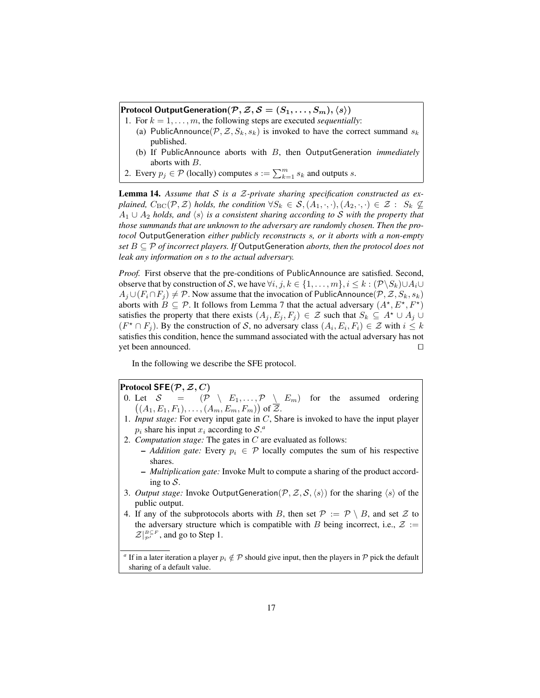Protocol OutputGeneration $(\mathcal{P}, \mathcal{Z}, \mathcal{S} = (S_1, \ldots, S_m), \langle s \rangle)$ 

- 1. For  $k = 1, \ldots, m$ , the following steps are executed *sequentially*:
	- (a) PublicAnnounce( $\mathcal{P}, \mathcal{Z}, S_k, s_k$ ) is invoked to have the correct summand  $s_k$ published.
	- (b) If PublicAnnounce aborts with B, then OutputGeneration *immediately* aborts with B.
- 2. Every  $p_j \in \mathcal{P}$  (locally) computes  $s := \sum_{k=1}^m s_k$  and outputs s.

Lemma 14. *Assume that* S *is a* Z*-private sharing specification constructed as explained,*  $C_{\text{BC}}(\mathcal{P}, \mathcal{Z})$  *holds, the condition*  $\forall S_k \in \mathcal{S}, (A_1, \cdot, \cdot), (A_2, \cdot, \cdot) \in \mathcal{Z}$ :  $S_k \nsubseteq$  $A_1 \cup A_2$  *holds, and*  $\langle s \rangle$  *is a consistent sharing according to* S *with the property that those summands that are unknown to the adversary are randomly chosen. Then the protocol* OutputGeneration *either publicly reconstructs* s*, or it aborts with a non-empty set* B ⊆ P *of incorrect players. If* OutputGeneration *aborts, then the protocol does not leak any information on* s *to the actual adversary.*

*Proof.* First observe that the pre-conditions of PublicAnnounce are satisfied. Second, observe that by construction of S, we have  $\forall i, j, k \in \{1, ..., m\}, i \leq k : (\mathcal{P} \backslash S_k) \cup A_i \cup$  $A_i \cup (F_i \cap F_j) \neq \mathcal{P}$ . Now assume that the invocation of PublicAnnounce( $\mathcal{P}, \mathcal{Z}, S_k, s_k$ ) aborts with  $B \subseteq \mathcal{P}$ . It follows from Lemma 7 that the actual adversary  $(A^*, E^*, F^*)$ satisfies the property that there exists  $(A_i, E_j, F_j) \in \mathcal{Z}$  such that  $S_k \subseteq A^* \cup A_j \cup$  $(F^* \cap F_j)$ . By the construction of S, no adversary class  $(A_i, E_i, F_i) \in \mathcal{Z}$  with  $i \leq k$ satisfies this condition, hence the summand associated with the actual adversary has not yet been announced.

In the following we describe the SFE protocol.

# Protocol  $\mathsf{SFE}(\mathcal{P},\mathcal{Z},C)$

- 0. Let  $S = (\mathcal{P} \setminus E_1, \dots, \mathcal{P} \setminus E_m)$  for the assumed ordering  $((A_1, E_1, F_1), \ldots, (A_m, E_m, F_m))$  of  $\overline{Z}$ .
- 1. *Input stage:* For every input gate in C, Share is invoked to have the input player  $p_i$  share his input  $x_i$  according to  $\mathcal{S}^a$ .
- 2. *Computation stage:* The gates in C are evaluated as follows:
	- *Addition gate:* Every  $p_i \in \mathcal{P}$  locally computes the sum of his respective shares.
	- *Multiplication gate:* Invoke Mult to compute a sharing of the product according to  $S$ .
- 3. *Output stage:* Invoke OutputGeneration( $\mathcal{P}, \mathcal{Z}, \mathcal{S}, \langle s \rangle$ ) for the sharing  $\langle s \rangle$  of the public output.
- 4. If any of the subprotocols aborts with B, then set  $P := \mathcal{P} \setminus B$ , and set  $\mathcal Z$  to the adversary structure which is compatible with B being incorrect, i.e.,  $\mathcal{Z}$  :=  $\mathcal{Z}|_{\mathcal{P}'}^{B \subseteq F}$ , and go to Step 1.

*a* If in a later iteration a player  $p_i \notin \mathcal{P}$  should give input, then the players in  $\mathcal P$  pick the default sharing of a default value.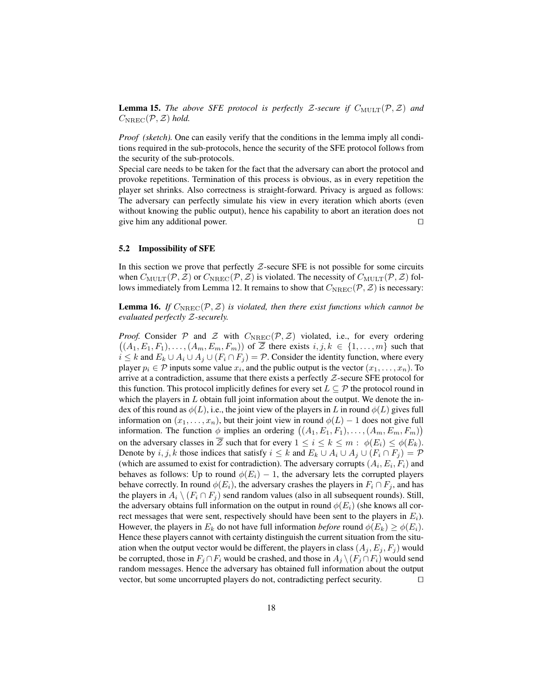**Lemma 15.** *The above SFE protocol is perfectly Z-secure if*  $C_{\text{MULT}}(\mathcal{P}, \mathcal{Z})$  *and*  $C_{\text{NREC}}(\mathcal{P}, \mathcal{Z})$  hold.

*Proof (sketch).* One can easily verify that the conditions in the lemma imply all conditions required in the sub-protocols, hence the security of the SFE protocol follows from the security of the sub-protocols.

Special care needs to be taken for the fact that the adversary can abort the protocol and provoke repetitions. Termination of this process is obvious, as in every repetition the player set shrinks. Also correctness is straight-forward. Privacy is argued as follows: The adversary can perfectly simulate his view in every iteration which aborts (even without knowing the public output), hence his capability to abort an iteration does not give him any additional power.  $\Box$ 

#### 5.2 Impossibility of SFE

In this section we prove that perfectly  $Z$ -secure SFE is not possible for some circuits when  $C_{\text{MULT}}(\mathcal{P}, \mathcal{Z})$  or  $C_{\text{NREC}}(\mathcal{P}, \mathcal{Z})$  is violated. The necessity of  $C_{\text{MULT}}(\mathcal{P}, \mathcal{Z})$  follows immediately from Lemma 12. It remains to show that  $C_{\text{NREC}}(\mathcal{P}, \mathcal{Z})$  is necessary:

**Lemma 16.** If  $C_{\text{NREC}}(\mathcal{P}, \mathcal{Z})$  is violated, then there exist functions which cannot be *evaluated perfectly* Z*-securely.*

*Proof.* Consider  $P$  and  $Z$  with  $C_{NREC}(P, Z)$  violated, i.e., for every ordering  $((A_1, E_1, F_1), \ldots, (A_m, E_m, F_m))$  of  $\overline{Z}$  there exists  $i, j, k \in \{1, \ldots, m\}$  such that  $i \leq k$  and  $E_k \cup A_i \cup A_j \cup (F_i \cap F_j) = \mathcal{P}$ . Consider the identity function, where every player  $p_i \in \mathcal{P}$  inputs some value  $x_i$ , and the public output is the vector  $(x_1, \ldots, x_n)$ . To arrive at a contradiction, assume that there exists a perfectly  $Z$ -secure SFE protocol for this function. This protocol implicitly defines for every set  $L \subseteq \mathcal{P}$  the protocol round in which the players in  $L$  obtain full joint information about the output. We denote the index of this round as  $\phi(L)$ , i.e., the joint view of the players in L in round  $\phi(L)$  gives full information on  $(x_1, \ldots, x_n)$ , but their joint view in round  $\phi(L) - 1$  does not give full information. The function  $\phi$  implies an ordering  $((A_1, E_1, F_1), \ldots, (A_m, E_m, F_m))$ on the adversary classes in  $\overline{Z}$  such that for every  $1 \leq i \leq k \leq m$ :  $\phi(E_i) \leq \phi(E_k)$ . Denote by i, j, k those indices that satisfy  $i \leq k$  and  $E_k \cup A_i \cup A_j \cup (F_i \cap F_j) = \mathcal{P}$ (which are assumed to exist for contradiction). The adversary corrupts  $(A_i, E_i, F_i)$  and behaves as follows: Up to round  $\phi(E_i) - 1$ , the adversary lets the corrupted players behave correctly. In round  $\phi(E_i)$ , the adversary crashes the players in  $F_i \cap F_j$ , and has the players in  $A_i \setminus (F_i \cap F_j)$  send random values (also in all subsequent rounds). Still, the adversary obtains full information on the output in round  $\phi(E_i)$  (she knows all correct messages that were sent, respectively should have been sent to the players in  $E_i$ ). However, the players in  $E_k$  do not have full information *before* round  $\phi(E_k) \geq \phi(E_i)$ . Hence these players cannot with certainty distinguish the current situation from the situation when the output vector would be different, the players in class  $(A_j, E_j, F_j)$  would be corrupted, those in  $F_j \cap F_i$  would be crashed, and those in  $A_j \setminus (F_j \cap F_i)$  would send random messages. Hence the adversary has obtained full information about the output vector, but some uncorrupted players do not, contradicting perfect security.  $\Box$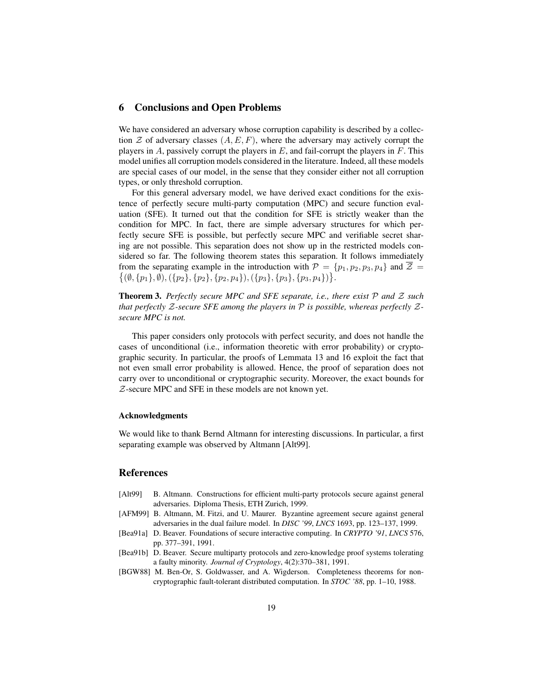# 6 Conclusions and Open Problems

We have considered an adversary whose corruption capability is described by a collection  $Z$  of adversary classes  $(A, E, F)$ , where the adversary may actively corrupt the players in  $A$ , passively corrupt the players in  $E$ , and fail-corrupt the players in  $F$ . This model unifies all corruption models considered in the literature. Indeed, all these models are special cases of our model, in the sense that they consider either not all corruption types, or only threshold corruption.

For this general adversary model, we have derived exact conditions for the existence of perfectly secure multi-party computation (MPC) and secure function evaluation (SFE). It turned out that the condition for SFE is strictly weaker than the condition for MPC. In fact, there are simple adversary structures for which perfectly secure SFE is possible, but perfectly secure MPC and verifiable secret sharing are not possible. This separation does not show up in the restricted models considered so far. The following theorem states this separation. It follows immediately from the separating example in the introduction with  $\mathcal{P} = \{p_1, p_2, p_3, p_4\}$  and  $\overline{\mathcal{Z}} =$  $\{(\emptyset, \{p_1\}, \emptyset), (\{p_2\}, \{p_2, p_4\}), (\{p_3\}, \{p_3, p_4\})\}.$ 

Theorem 3. *Perfectly secure MPC and SFE separate, i.e., there exist* P *and* Z *such that perfectly* Z*-secure SFE among the players in* P *is possible, whereas perfectly* Z*secure MPC is not.*

This paper considers only protocols with perfect security, and does not handle the cases of unconditional (i.e., information theoretic with error probability) or cryptographic security. In particular, the proofs of Lemmata 13 and 16 exploit the fact that not even small error probability is allowed. Hence, the proof of separation does not carry over to unconditional or cryptographic security. Moreover, the exact bounds for Z-secure MPC and SFE in these models are not known yet.

#### Acknowledgments

We would like to thank Bernd Altmann for interesting discussions. In particular, a first separating example was observed by Altmann [Alt99].

# **References**

- [Alt99] B. Altmann. Constructions for efficient multi-party protocols secure against general adversaries. Diploma Thesis, ETH Zurich, 1999.
- [AFM99] B. Altmann, M. Fitzi, and U. Maurer. Byzantine agreement secure against general adversaries in the dual failure model. In *DISC '99*, *LNCS* 1693, pp. 123–137, 1999.
- [Bea91a] D. Beaver. Foundations of secure interactive computing. In *CRYPTO '91*, *LNCS* 576, pp. 377–391, 1991.
- [Bea91b] D. Beaver. Secure multiparty protocols and zero-knowledge proof systems tolerating a faulty minority. *Journal of Cryptology*, 4(2):370–381, 1991.
- [BGW88] M. Ben-Or, S. Goldwasser, and A. Wigderson. Completeness theorems for noncryptographic fault-tolerant distributed computation. In *STOC '88*, pp. 1–10, 1988.